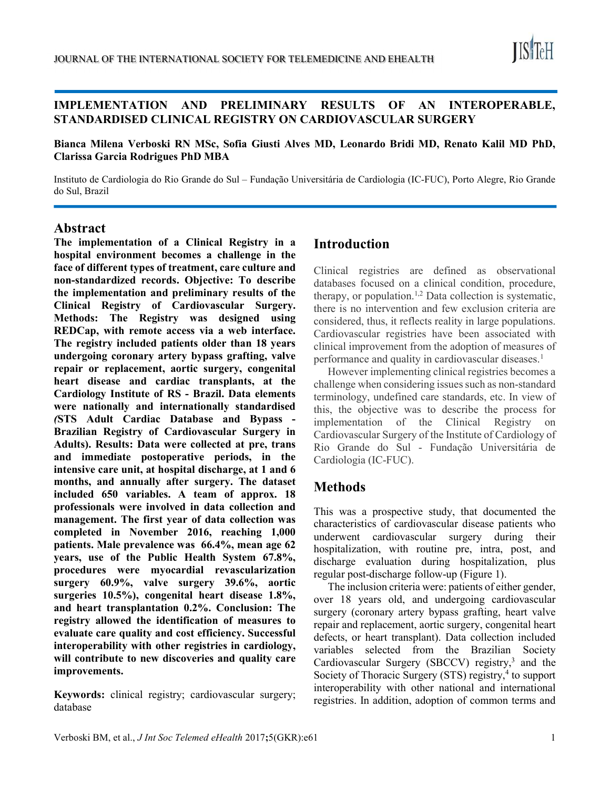

### IMPLEMENTATION AND PRELIMINARY RESULTS OF AN INTEROPERABLE, STANDARDISED CLINICAL REGISTRY ON CARDIOVASCULAR SURGERY

Bianca Milena Verboski RN MSc, Sofia Giusti Alves MD, Leonardo Bridi MD, Renato Kalil MD PhD, Clarissa Garcia Rodrigues PhD MBA

Instituto de Cardiologia do Rio Grande do Sul – Fundação Universitária de Cardiologia (IC-FUC), Porto Alegre, Rio Grande do Sul, Brazil

#### Abstract

l.

The implementation of a Clinical Registry in a hospital environment becomes a challenge in the face of different types of treatment, care culture and non-standardized records. Objective: To describe the implementation and preliminary results of the Clinical Registry of Cardiovascular Surgery. Methods: The Registry was designed using REDCap, with remote access via a web interface. The registry included patients older than 18 years undergoing coronary artery bypass grafting, valve repair or replacement, aortic surgery, congenital heart disease and cardiac transplants, at the Cardiology Institute of RS - Brazil. Data elements were nationally and internationally standardised (STS Adult Cardiac Database and Bypass - Brazilian Registry of Cardiovascular Surgery in Adults). Results: Data were collected at pre, trans and immediate postoperative periods, in the intensive care unit, at hospital discharge, at 1 and 6 months, and annually after surgery. The dataset included 650 variables. A team of approx. 18 professionals were involved in data collection and management. The first year of data collection was completed in November 2016, reaching 1,000 patients. Male prevalence was 66.4%, mean age 62 years, use of the Public Health System 67.8%, procedures were myocardial revascularization surgery 60.9%, valve surgery 39.6%, aortic surgeries 10.5%), congenital heart disease 1.8%, and heart transplantation 0.2%. Conclusion: The registry allowed the identification of measures to evaluate care quality and cost efficiency. Successful interoperability with other registries in cardiology, will contribute to new discoveries and quality care improvements.

Keywords: clinical registry; cardiovascular surgery; database

### Introduction

Clinical registries are defined as observational databases focused on a clinical condition, procedure, therapy, or population.<sup>1,2</sup> Data collection is systematic, there is no intervention and few exclusion criteria are considered, thus, it reflects reality in large populations. Cardiovascular registries have been associated with clinical improvement from the adoption of measures of performance and quality in cardiovascular diseases.<sup>1</sup>

However implementing clinical registries becomes a challenge when considering issues such as non-standard terminology, undefined care standards, etc. In view of this, the objective was to describe the process for implementation of the Clinical Registry on Cardiovascular Surgery of the Institute of Cardiology of Rio Grande do Sul - Fundação Universitária de Cardiologia (IC-FUC).

# Methods

This was a prospective study, that documented the characteristics of cardiovascular disease patients who underwent cardiovascular surgery during their hospitalization, with routine pre, intra, post, and discharge evaluation during hospitalization, plus regular post-discharge follow-up (Figure 1).

The inclusion criteria were: patients of either gender, over 18 years old, and undergoing cardiovascular surgery (coronary artery bypass grafting, heart valve repair and replacement, aortic surgery, congenital heart defects, or heart transplant). Data collection included variables selected from the Brazilian Society Cardiovascular Surgery (SBCCV) registry,<sup>3</sup> and the Society of Thoracic Surgery (STS) registry,<sup>4</sup> to support interoperability with other national and international registries. In addition, adoption of common terms and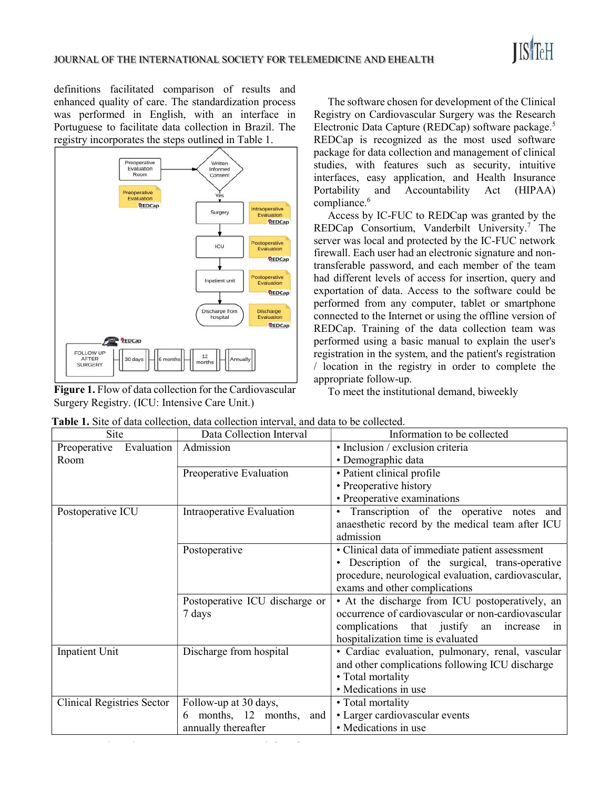

definitions facilitated comparison of results and enhanced quality of care. The standardization process was performed in English, with an interface in Portuguese to facilitate data collection in Brazil. The registry incorporates the steps outlined in Table 1.



Figure 1. Flow of data collection for the Cardiovascular Surgery Registry. (ICU: Intensive Care Unit.)

The software chosen for development of the Clinical Registry on Cardiovascular Surgery was the Research Electronic Data Capture (REDCap) software package.<sup>5</sup> REDCap is recognized as the most used software package for data collection and management of clinical studies, with features such as security, intuitive interfaces, easy application, and Health Insurance Portability and Accountability Act (HIPAA) compliance.<sup>6</sup>

Access by IC-FUC to REDCap was granted by the REDCap Consortium, Vanderbilt University.<sup>7</sup> The server was local and protected by the IC-FUC network firewall. Each user had an electronic signature and nontransferable password, and each member of the team had different levels of access for insertion, query and exportation of data. Access to the software could be performed from any computer, tablet or smartphone connected to the Internet or using the offline version of REDCap. Training of the data collection team was performed using a basic manual to explain the user's registration in the system, and the patient's registration / location in the registry in order to complete the appropriate follow-up.

To meet the institutional demand, biweekly

| Site                              | Data Collection Interval       | Information to be collected                               |
|-----------------------------------|--------------------------------|-----------------------------------------------------------|
| Preoperative<br>Evaluation        | Admission                      | · Inclusion / exclusion criteria                          |
| Room                              |                                | • Demographic data                                        |
|                                   | Preoperative Evaluation        | • Patient clinical profile                                |
|                                   |                                | • Preoperative history                                    |
|                                   |                                | • Preoperative examinations                               |
| Postoperative ICU                 | Intraoperative Evaluation      | Transcription of the operative notes and<br>$\bullet$     |
|                                   |                                | anaesthetic record by the medical team after ICU          |
|                                   |                                | admission                                                 |
|                                   | Postoperative                  | · Clinical data of immediate patient assessment           |
|                                   |                                | Description of the surgical, trans-operative<br>$\bullet$ |
|                                   |                                | procedure, neurological evaluation, cardiovascular,       |
|                                   |                                | exams and other complications                             |
|                                   | Postoperative ICU discharge or | • At the discharge from ICU postoperatively, an           |
|                                   | 7 days                         | occurrence of cardiovascular or non-cardiovascular        |
|                                   |                                | complications that justify an increase<br>1n              |
|                                   |                                | hospitalization time is evaluated                         |
| Inpatient Unit                    | Discharge from hospital        | · Cardiac evaluation, pulmonary, renal, vascular          |
|                                   |                                | and other complications following ICU discharge           |
|                                   |                                | • Total mortality                                         |
|                                   |                                | • Medications in use                                      |
| <b>Clinical Registries Sector</b> | Follow-up at 30 days,          | • Total mortality                                         |
|                                   | months, 12 months, and<br>6    | • Larger cardiovascular events                            |
|                                   | annually thereafter            | • Medications in use                                      |
|                                   |                                |                                                           |

Table 1. Site of data collection, data collection interval, and data to be collected.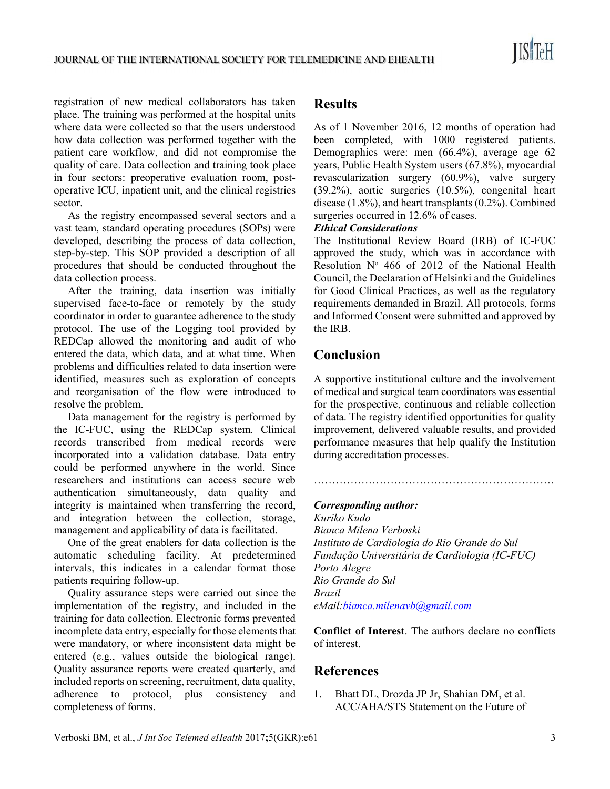

registration of new medical collaborators has taken place. The training was performed at the hospital units where data were collected so that the users understood how data collection was performed together with the patient care workflow, and did not compromise the quality of care. Data collection and training took place in four sectors: preoperative evaluation room, postoperative ICU, inpatient unit, and the clinical registries sector.

As the registry encompassed several sectors and a vast team, standard operating procedures (SOPs) were developed, describing the process of data collection, step-by-step. This SOP provided a description of all procedures that should be conducted throughout the data collection process.

After the training, data insertion was initially supervised face-to-face or remotely by the study coordinator in order to guarantee adherence to the study protocol. The use of the Logging tool provided by REDCap allowed the monitoring and audit of who entered the data, which data, and at what time. When problems and difficulties related to data insertion were identified, measures such as exploration of concepts and reorganisation of the flow were introduced to resolve the problem.

Data management for the registry is performed by the IC-FUC, using the REDCap system. Clinical records transcribed from medical records were incorporated into a validation database. Data entry could be performed anywhere in the world. Since researchers and institutions can access secure web authentication simultaneously, data quality and integrity is maintained when transferring the record, and integration between the collection, storage, management and applicability of data is facilitated.

One of the great enablers for data collection is the automatic scheduling facility. At predetermined intervals, this indicates in a calendar format those patients requiring follow-up.

Quality assurance steps were carried out since the implementation of the registry, and included in the training for data collection. Electronic forms prevented incomplete data entry, especially for those elements that were mandatory, or where inconsistent data might be entered (e.g., values outside the biological range). Quality assurance reports were created quarterly, and included reports on screening, recruitment, data quality, adherence to protocol, plus consistency and completeness of forms.

## Results

As of 1 November 2016, 12 months of operation had been completed, with 1000 registered patients. Demographics were: men (66.4%), average age 62 years, Public Health System users (67.8%), myocardial revascularization surgery (60.9%), valve surgery (39.2%), aortic surgeries (10.5%), congenital heart disease (1.8%), and heart transplants (0.2%). Combined surgeries occurred in 12.6% of cases.

#### Ethical Considerations

The Institutional Review Board (IRB) of IC-FUC approved the study, which was in accordance with Resolution  $N^{\circ}$  466 of 2012 of the National Health Council, the Declaration of Helsinki and the Guidelines for Good Clinical Practices, as well as the regulatory requirements demanded in Brazil. All protocols, forms and Informed Consent were submitted and approved by the IRB.

# Conclusion

A supportive institutional culture and the involvement of medical and surgical team coordinators was essential for the prospective, continuous and reliable collection of data. The registry identified opportunities for quality improvement, delivered valuable results, and provided performance measures that help qualify the Institution during accreditation processes.

…………………………………………………………

#### Corresponding author:

Kuriko Kudo Bianca Milena Verboski Instituto de Cardiologia do Rio Grande do Sul Fundação Universitária de Cardiologia (IC-FUC) Porto Alegre Rio Grande do Sul Brazil eMail: bianca.milenavb@gmail.com

Conflict of Interest. The authors declare no conflicts of interest.

### References

1. Bhatt DL, Drozda JP Jr, Shahian DM, et al. ACC/AHA/STS Statement on the Future of